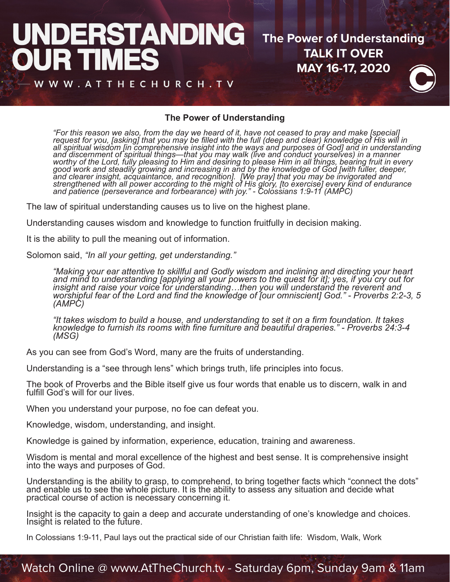#### **IDERSTANDING The Power of Understanding TALK IT OVER** JRT **MAY 16-17, 2020** W WW.ATTHECHURCH.TV



## **The Power of Understanding**

"For this reason we also, from the day we heard of it, have not ceased to pray and make [special]<br>request for you, [asking] that you may be filled with the full (deep and clear) knowledge of His will in<br>all spiritual wisdo worthy of the Lord, fully pleasing to Him and desiring to please Him in all things, bearing fruit in every<br>good work and steadily growing and increasing in and by the knowledge of God [with fuller, deeper, and clearer insight, acquaintance, and recognition]. [We pray] that you may be invigorated and<br>strengthened with all power according to the might of His glory, [to exercise] every kind of endurance<br>and patience (persevera

The law of spiritual understanding causes us to live on the highest plane.

Understanding causes wisdom and knowledge to function fruitfully in decision making.

It is the ability to pull the meaning out of information.

Solomon said, *"In all your getting, get understanding."*

"Making your ear attentive to skillful and Godly wisdom and inclining and directing your heart<br>and mind to understanding [applying all your powers to the quest for it]; yes, if you cry out for<br>insight and raise your voice  *(AMPC)*

"It takes wisdom to build a house, and understanding to set it on a firm foundation. It takes<br>knowledge to furnish its rooms with fine furniture and beautiful draperies." - Proverbs 24:3-4<br>(MSG)

As you can see from God's Word, many are the fruits of understanding.

Understanding is a "see through lens" which brings truth, life principles into focus.

The book of Proverbs and the Bible itself give us four words that enable us to discern, walk in and fulfill God's will for our lives.

When you understand your purpose, no foe can defeat you.

Knowledge, wisdom, understanding, and insight.

Knowledge is gained by information, experience, education, training and awareness.

Wisdom is mental and moral excellence of the highest and best sense. It is comprehensive insight into the ways and purposes of God.

Understanding is the ability to grasp, to comprehend, to bring together facts which "connect the dots" and enable us to see the whole picture. It is the ability to assess any situation and decide what practical course of action is necessary concerning it.

Insight is the capacity to gain a deep and accurate understanding of one's knowledge and choices. Insight is related to the future.

In Colossians 1:9-11, Paul lays out the practical side of our Christian faith life: Wisdom, Walk, Work